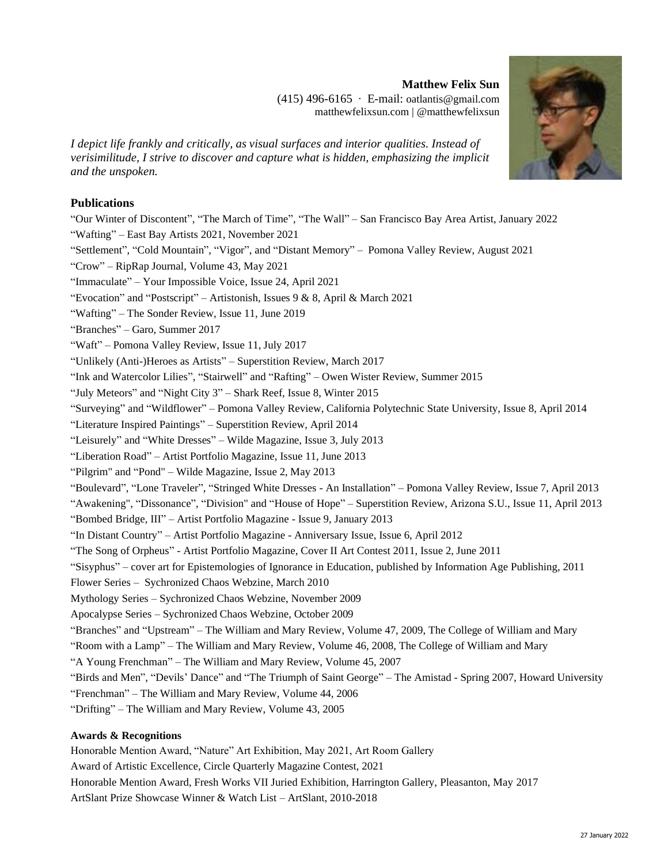# **Matthew Felix Sun**

(415) 496-6165 ∙ E-mail: [oatlantis@gm](mailto:oatlantis@gmail.com)ail.com [matthewfelix](http://www.matthewfelixsun.com/)sun.com | @matthewfelixsun

*I depict life frankly and critically, as visual surfaces and interior qualities. Instead of verisimilitude, I strive to discover and capture what is hidden, emphasizing the implicit and the unspoken.*

### **Publications**

"Our Winter of Discontent", "The March of Time", "The Wall" – San Francisco Bay Area Artist, January 2022 "Wafting" – East Bay Artists 2021, November 2021 "Settlement", "Cold Mountain", "Vigor", and "Distant Memory" – Pomona Valley Review, August 2021 "Crow" – RipRap Journal, Volume 43, May 2021 "Immaculate" – Your Impossible Voice, Issue 24, April 2021 "Evocation" and "Postscript" – Artistonish, Issues 9 & 8, April & March 2021 "Wafting" – The Sonder Review, Issue 11, June 2019 "Branches" – Garo, Summer 2017 "Waft" – Pomona Valley Review, Issue 11, July 2017 "Unlikely (Anti-)Heroes as Artists" – Superstition Review, March 2017 "Ink and Watercolor Lilies", "Stairwell" and "Rafting" – Owen Wister Review, Summer 2015 "July Meteors" and "Night City 3" – Shark Reef, Issue 8, Winter 2015 "Surveying" and "Wildflower" – Pomona Valley Review, California Polytechnic State University, Issue 8, April 2014 "Literature Inspired Paintings" – Superstition Review, April 2014 "Leisurely" and "White Dresses" – Wilde Magazine, Issue 3, July 2013 "Liberation Road" – Artist Portfolio Magazine, Issue 11, June 2013 "Pilgrim" and "Pond" – Wilde Magazine, Issue 2, May 2013 "Boulevard", "Lone Traveler", "Stringed White Dresses - An Installation" – Pomona Valley Review, Issue 7, April 2013 "Awakening", "Dissonance", "Division" and "House of Hope" – Superstition Review, Arizona S.U., Issue 11, April 2013 "Bombed Bridge, III" – Artist Portfolio Magazine - Issue 9, January 2013 "In Distant Country" – Artist Portfolio Magazine - Anniversary Issue, Issue 6, April 2012 "The Song of Orpheus" - Artist Portfolio Magazine, Cover II Art Contest 2011, Issue 2, June 2011 "Sisyphus" – cover art for Epistemologies of Ignorance in Education, published by Information Age Publishing, 2011 Flower Series – Sychronized Chaos Webzine, March 2010 Mythology Series – Sychronized Chaos Webzine, November 2009 Apocalypse Series – Sychronized Chaos Webzine, October 2009 "Branches" and "Upstream" – The William and Mary Review, Volume 47, 2009, The College of William and Mary "Room with a Lamp" – The William and Mary Review, Volume 46, 2008, The College of William and Mary "A Young Frenchman" – The William and Mary Review, Volume 45, 2007 "Birds and Men", "Devils' Dance" and "The Triumph of Saint George" – The Amistad - Spring 2007, Howard University "Frenchman" – The William and Mary Review, Volume 44, 2006 "Drifting" – The William and Mary Review, Volume 43, 2005

#### **Awards & Recognitions**

Honorable Mention Award, "Nature" Art Exhibition, May 2021, Art Room Gallery Award of Artistic Excellence, Circle Quarterly Magazine Contest, 2021 Honorable Mention Award, Fresh Works VII Juried Exhibition, Harrington Gallery, Pleasanton, May 2017 ArtSlant Prize Showcase Winner & Watch List – ArtSlant, 2010-2018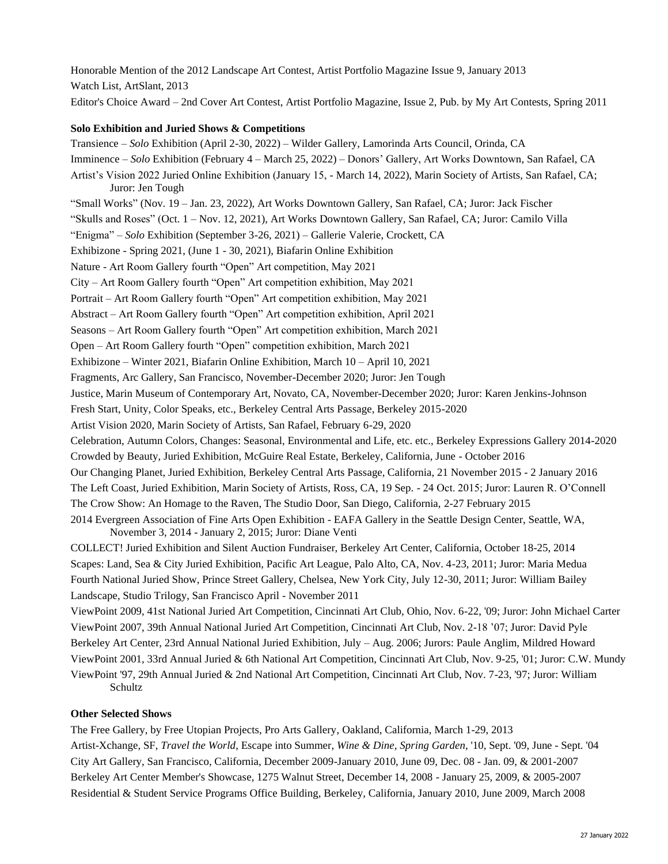Honorable Mention of the 2012 Landscape Art Contest, Artist Portfolio Magazine Issue 9, January 2013 Watch List, ArtSlant, 2013 Editor's Choice Award – 2nd Cover Art Contest, Artist Portfolio Magazine, Issue 2, Pub. by My Art Contests, Spring 2011

#### **Solo Exhibition and Juried Shows & Competitions**

Transience – *Solo* Exhibition (April 2-30, 2022) – Wilder Gallery, Lamorinda Arts Council, Orinda, CA Imminence – *Solo* Exhibition (February 4 – March 25, 2022) – Donors' Gallery, Art Works Downtown, San Rafael, CA Artist's Vision 2022 Juried Online Exhibition (January 15, - March 14, 2022), Marin Society of Artists, San Rafael, CA; Juror: Jen Tough "Small Works" (Nov. 19 – Jan. 23, 2022), Art Works Downtown Gallery, San Rafael, CA; Juror: Jack Fischer "Skulls and Roses" (Oct. 1 – Nov. 12, 2021), Art Works Downtown Gallery, San Rafael, CA; Juror: Camilo Villa "Enigma" – *Solo* Exhibition (September 3-26, 2021) – Gallerie Valerie, Crockett, CA Exhibizone - Spring 2021, (June 1 - 30, 2021), Biafarin Online Exhibition Nature - Art Room Gallery fourth "Open" Art competition, May 2021 City – Art Room Gallery fourth "Open" Art competition exhibition, May 2021 Portrait – Art Room Gallery fourth "Open" Art competition exhibition, May 2021 Abstract – Art Room Gallery fourth "Open" Art competition exhibition, April 2021 Seasons – Art Room Gallery fourth "Open" Art competition exhibition, March 2021 Open – Art Room Gallery fourth "Open" competition exhibition, March 2021 Exhibizone – Winter 2021, Biafarin Online Exhibition, March 10 – April 10, 2021 Fragments, Arc Gallery, San Francisco, November-December 2020; Juror: Jen Tough Justice, Marin Museum of Contemporary Art, Novato, CA, November-December 2020; Juror: Karen Jenkins-Johnson Fresh Start, Unity, Color Speaks, etc., Berkeley Central Arts Passage, Berkeley 2015-2020 Artist Vision 2020, Marin Society of Artists, San Rafael, February 6-29, 2020 Celebration, Autumn Colors, Changes: Seasonal, Environmental and Life, etc. etc., Berkeley Expressions Gallery 2014-2020 Crowded by Beauty, Juried Exhibition, McGuire Real Estate, Berkeley, California, June - October 2016 Our Changing Planet, Juried Exhibition, Berkeley Central Arts Passage, California, 21 November 2015 - 2 January 2016 The Left Coast, Juried Exhibition, Marin Society of Artists, Ross, CA, 19 Sep. - 24 Oct. 2015; Juror: Lauren R. O'Connell The Crow Show: An Homage to the Raven, The Studio Door, San Diego, California, 2-27 February 2015 2014 Evergreen Association of Fine Arts Open Exhibition - EAFA Gallery in the Seattle Design Center, Seattle, WA, November 3, 2014 - January 2, 2015; Juror: Diane Venti COLLECT! Juried Exhibition and Silent Auction Fundraiser, Berkeley Art Center, California, October 18-25, 2014 Scapes: Land, Sea & City Juried Exhibition, Pacific Art League, Palo Alto, CA, Nov. 4-23, 2011; Juror: Maria Medua Fourth National Juried Show, Prince Street Gallery, Chelsea, New York City, July 12-30, 2011; Juror: William Bailey Landscape, Studio Trilogy, San Francisco April - November 2011 ViewPoint 2009, 41st National Juried Art Competition, Cincinnati Art Club, Ohio, Nov. 6-22, '09; Juror: John Michael Carter ViewPoint 2007, 39th Annual National Juried Art Competition, Cincinnati Art Club, Nov. 2-18 '07; Juror: David Pyle

Berkeley Art Center, 23rd Annual National Juried Exhibition, July – Aug. 2006; Jurors: Paule Anglim, Mildred Howard ViewPoint 2001, 33rd Annual Juried & 6th National Art Competition, Cincinnati Art Club, Nov. 9-25, '01; Juror: C.W. Mundy ViewPoint '97, 29th Annual Juried & 2nd National Art Competition, Cincinnati Art Club, Nov. 7-23, '97; Juror: William Schultz

## **Other Selected Shows**

The Free Gallery, by Free Utopian Projects, Pro Arts Gallery, Oakland, California, March 1-29, 2013 Artist-Xchange, SF, *Travel the World*, Escape into Summer, *Wine & Dine*, *Spring Garden*, '10, Sept. '09, June - Sept. '04 City Art Gallery, San Francisco, California, December 2009-January 2010, June 09, Dec. 08 - Jan. 09, & 2001-2007 Berkeley Art Center Member's Showcase, 1275 Walnut Street, December 14, 2008 - January 25, 2009, & 2005-2007 Residential & Student Service Programs Office Building, Berkeley, California, January 2010, June 2009, March 2008